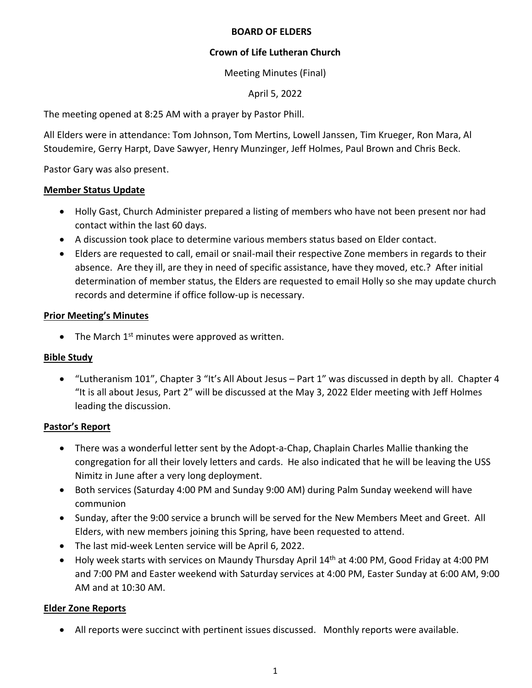### **BOARD OF ELDERS**

## **Crown of Life Lutheran Church**

Meeting Minutes (Final)

April 5, 2022

The meeting opened at 8:25 AM with a prayer by Pastor Phill.

All Elders were in attendance: Tom Johnson, Tom Mertins, Lowell Janssen, Tim Krueger, Ron Mara, Al Stoudemire, Gerry Harpt, Dave Sawyer, Henry Munzinger, Jeff Holmes, Paul Brown and Chris Beck.

Pastor Gary was also present.

#### **Member Status Update**

- Holly Gast, Church Administer prepared a listing of members who have not been present nor had contact within the last 60 days.
- A discussion took place to determine various members status based on Elder contact.
- Elders are requested to call, email or snail-mail their respective Zone members in regards to their absence. Are they ill, are they in need of specific assistance, have they moved, etc.? After initial determination of member status, the Elders are requested to email Holly so she may update church records and determine if office follow-up is necessary.

### **Prior Meeting's Minutes**

 $\bullet$  The March 1<sup>st</sup> minutes were approved as written.

#### **Bible Study**

• "Lutheranism 101", Chapter 3 "It's All About Jesus – Part 1" was discussed in depth by all. Chapter 4 "It is all about Jesus, Part 2" will be discussed at the May 3, 2022 Elder meeting with Jeff Holmes leading the discussion.

## **Pastor's Report**

- There was a wonderful letter sent by the Adopt-a-Chap, Chaplain Charles Mallie thanking the congregation for all their lovely letters and cards. He also indicated that he will be leaving the USS Nimitz in June after a very long deployment.
- Both services (Saturday 4:00 PM and Sunday 9:00 AM) during Palm Sunday weekend will have communion
- Sunday, after the 9:00 service a brunch will be served for the New Members Meet and Greet. All Elders, with new members joining this Spring, have been requested to attend.
- The last mid-week Lenten service will be April 6, 2022.
- Holy week starts with services on Maundy Thursday April 14<sup>th</sup> at 4:00 PM, Good Friday at 4:00 PM and 7:00 PM and Easter weekend with Saturday services at 4:00 PM, Easter Sunday at 6:00 AM, 9:00 AM and at 10:30 AM.

## **Elder Zone Reports**

• All reports were succinct with pertinent issues discussed. Monthly reports were available.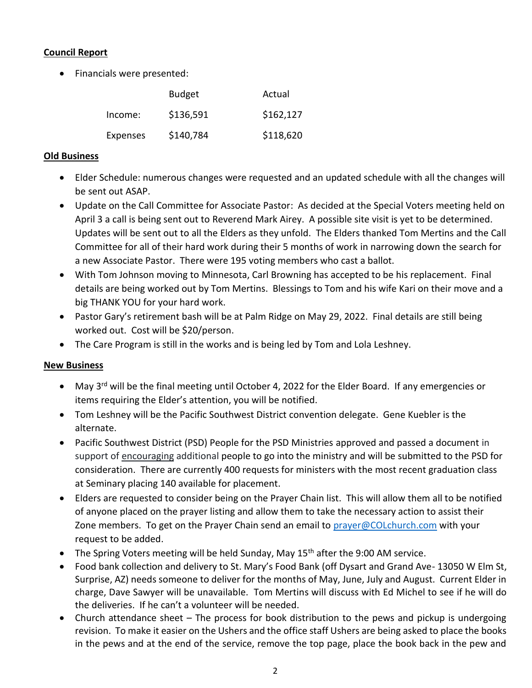## **Council Report**

• Financials were presented:

|          | <b>Budget</b> | Actual    |
|----------|---------------|-----------|
| Income:  | \$136,591     | \$162,127 |
| Expenses | \$140,784     | \$118,620 |

### **Old Business**

- Elder Schedule: numerous changes were requested and an updated schedule with all the changes will be sent out ASAP.
- Update on the Call Committee for Associate Pastor: As decided at the Special Voters meeting held on April 3 a call is being sent out to Reverend Mark Airey. A possible site visit is yet to be determined. Updates will be sent out to all the Elders as they unfold. The Elders thanked Tom Mertins and the Call Committee for all of their hard work during their 5 months of work in narrowing down the search for a new Associate Pastor. There were 195 voting members who cast a ballot.
- With Tom Johnson moving to Minnesota, Carl Browning has accepted to be his replacement. Final details are being worked out by Tom Mertins. Blessings to Tom and his wife Kari on their move and a big THANK YOU for your hard work.
- Pastor Gary's retirement bash will be at Palm Ridge on May 29, 2022. Final details are still being worked out. Cost will be \$20/person.
- The Care Program is still in the works and is being led by Tom and Lola Leshney.

## **New Business**

- May 3<sup>rd</sup> will be the final meeting until October 4, 2022 for the Elder Board. If any emergencies or items requiring the Elder's attention, you will be notified.
- Tom Leshney will be the Pacific Southwest District convention delegate. Gene Kuebler is the alternate.
- Pacific Southwest District (PSD) People for the PSD Ministries approved and passed a document in support of encouraging additional people to go into the ministry and will be submitted to the PSD for consideration. There are currently 400 requests for ministers with the most recent graduation class at Seminary placing 140 available for placement.
- Elders are requested to consider being on the Prayer Chain list. This will allow them all to be notified of anyone placed on the prayer listing and allow them to take the necessary action to assist their Zone members. To get on the Prayer Chain send an email to [prayer@COLchurch.com](mailto:prayer@COLchurch.com) with your request to be added.
- The Spring Voters meeting will be held Sunday, May 15<sup>th</sup> after the 9:00 AM service.
- Food bank collection and delivery to St. Mary's Food Bank (off Dysart and Grand Ave- 13050 W Elm St, Surprise, AZ) needs someone to deliver for the months of May, June, July and August. Current Elder in charge, Dave Sawyer will be unavailable. Tom Mertins will discuss with Ed Michel to see if he will do the deliveries. If he can't a volunteer will be needed.
- Church attendance sheet The process for book distribution to the pews and pickup is undergoing revision. To make it easier on the Ushers and the office staff Ushers are being asked to place the books in the pews and at the end of the service, remove the top page, place the book back in the pew and